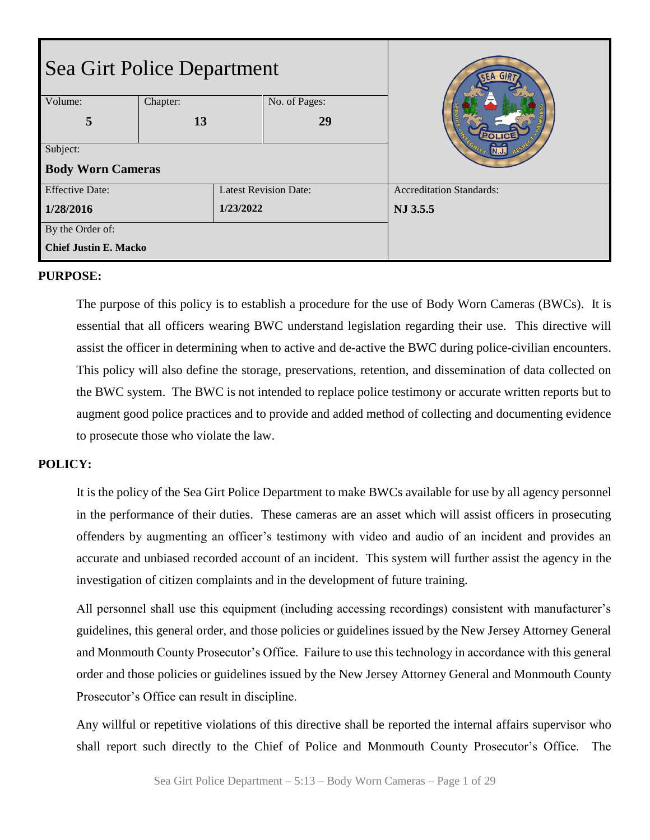| Sea Girt Police Department   |          |           |                              | <b>SEA</b>                      |
|------------------------------|----------|-----------|------------------------------|---------------------------------|
| Volume:                      | Chapter: |           | No. of Pages:                |                                 |
| 5                            | 13       |           | 29                           |                                 |
| Subject:                     |          |           |                              |                                 |
| <b>Body Worn Cameras</b>     |          |           |                              |                                 |
| <b>Effective Date:</b>       |          |           | <b>Latest Revision Date:</b> | <b>Accreditation Standards:</b> |
| 1/28/2016                    |          | 1/23/2022 |                              | NJ 3.5.5                        |
| By the Order of:             |          |           |                              |                                 |
| <b>Chief Justin E. Macko</b> |          |           |                              |                                 |

#### **PURPOSE:**

The purpose of this policy is to establish a procedure for the use of Body Worn Cameras (BWCs). It is essential that all officers wearing BWC understand legislation regarding their use. This directive will assist the officer in determining when to active and de-active the BWC during police-civilian encounters. This policy will also define the storage, preservations, retention, and dissemination of data collected on the BWC system. The BWC is not intended to replace police testimony or accurate written reports but to augment good police practices and to provide and added method of collecting and documenting evidence to prosecute those who violate the law.

#### **POLICY:**

It is the policy of the Sea Girt Police Department to make BWCs available for use by all agency personnel in the performance of their duties. These cameras are an asset which will assist officers in prosecuting offenders by augmenting an officer's testimony with video and audio of an incident and provides an accurate and unbiased recorded account of an incident. This system will further assist the agency in the investigation of citizen complaints and in the development of future training.

All personnel shall use this equipment (including accessing recordings) consistent with manufacturer's guidelines, this general order, and those policies or guidelines issued by the New Jersey Attorney General and Monmouth County Prosecutor's Office. Failure to use this technology in accordance with this general order and those policies or guidelines issued by the New Jersey Attorney General and Monmouth County Prosecutor's Office can result in discipline.

Any willful or repetitive violations of this directive shall be reported the internal affairs supervisor who shall report such directly to the Chief of Police and Monmouth County Prosecutor's Office. The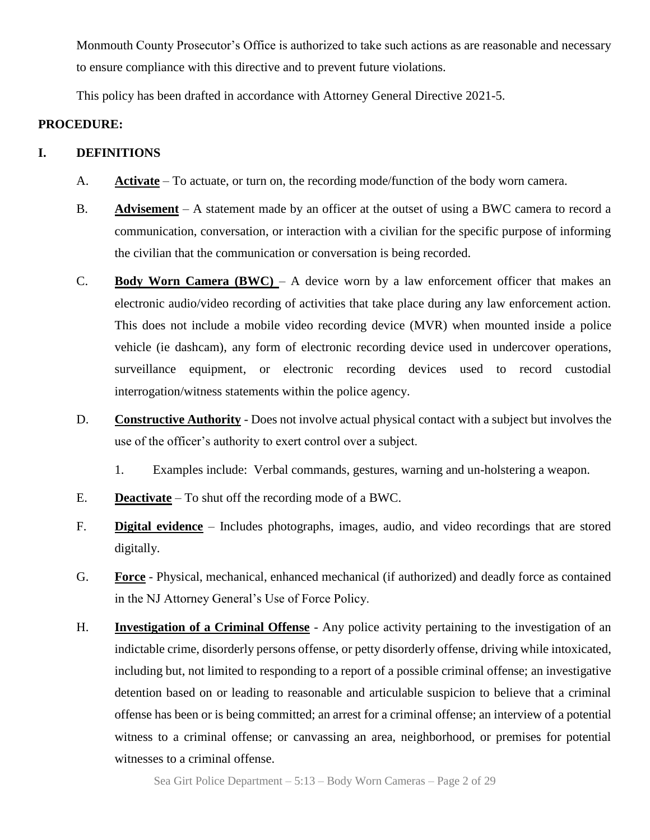Monmouth County Prosecutor's Office is authorized to take such actions as are reasonable and necessary to ensure compliance with this directive and to prevent future violations.

This policy has been drafted in accordance with Attorney General Directive 2021-5.

## **PROCEDURE:**

## **I. DEFINITIONS**

- A. **Activate** To actuate, or turn on, the recording mode/function of the body worn camera.
- B. **Advisement** A statement made by an officer at the outset of using a BWC camera to record a communication, conversation, or interaction with a civilian for the specific purpose of informing the civilian that the communication or conversation is being recorded.
- C. **Body Worn Camera (BWC)**  A device worn by a law enforcement officer that makes an electronic audio/video recording of activities that take place during any law enforcement action. This does not include a mobile video recording device (MVR) when mounted inside a police vehicle (ie dashcam), any form of electronic recording device used in undercover operations, surveillance equipment, or electronic recording devices used to record custodial interrogation/witness statements within the police agency.
- D. **Constructive Authority** Does not involve actual physical contact with a subject but involves the use of the officer's authority to exert control over a subject.
	- 1. Examples include: Verbal commands, gestures, warning and un-holstering a weapon.
- E. **Deactivate** To shut off the recording mode of a BWC.
- F. **Digital evidence** Includes photographs, images, audio, and video recordings that are stored digitally.
- G. **Force** Physical, mechanical, enhanced mechanical (if authorized) and deadly force as contained in the NJ Attorney General's Use of Force Policy.
- H. **Investigation of a Criminal Offense** Any police activity pertaining to the investigation of an indictable crime, disorderly persons offense, or petty disorderly offense, driving while intoxicated, including but, not limited to responding to a report of a possible criminal offense; an investigative detention based on or leading to reasonable and articulable suspicion to believe that a criminal offense has been or is being committed; an arrest for a criminal offense; an interview of a potential witness to a criminal offense; or canvassing an area, neighborhood, or premises for potential witnesses to a criminal offense.

Sea Girt Police Department – 5:13 – Body Worn Cameras – Page 2 of 29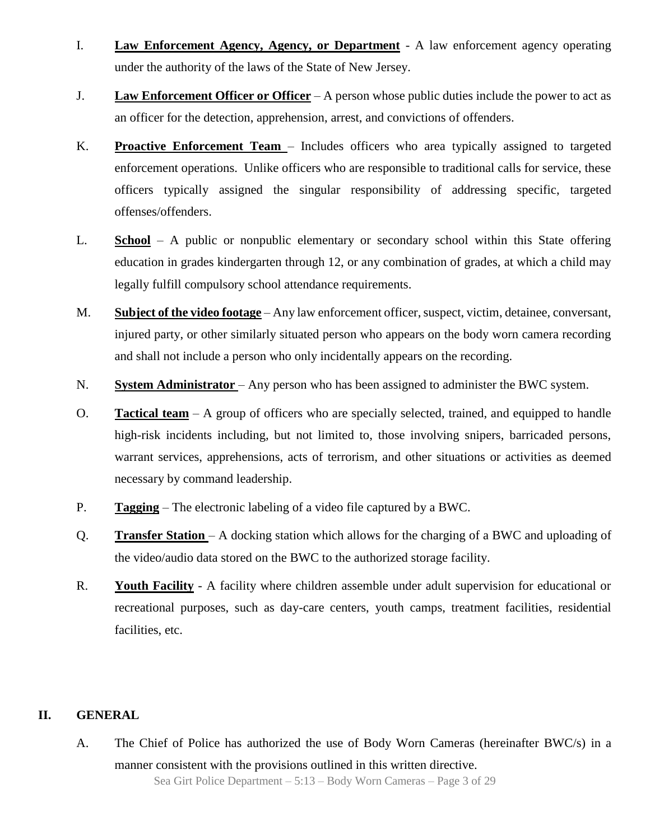- I. **Law Enforcement Agency, Agency, or Department** A law enforcement agency operating under the authority of the laws of the State of New Jersey.
- J. **Law Enforcement Officer or Officer** A person whose public duties include the power to act as an officer for the detection, apprehension, arrest, and convictions of offenders.
- K. **Proactive Enforcement Team**  Includes officers who area typically assigned to targeted enforcement operations. Unlike officers who are responsible to traditional calls for service, these officers typically assigned the singular responsibility of addressing specific, targeted offenses/offenders.
- L. **School** A public or nonpublic elementary or secondary school within this State offering education in grades kindergarten through 12, or any combination of grades, at which a child may legally fulfill compulsory school attendance requirements.
- M. **Subject of the video footage** Any law enforcement officer, suspect, victim, detainee, conversant, injured party, or other similarly situated person who appears on the body worn camera recording and shall not include a person who only incidentally appears on the recording.
- N. **System Administrator** Any person who has been assigned to administer the BWC system.
- O. **Tactical team** A group of officers who are specially selected, trained, and equipped to handle high-risk incidents including, but not limited to, those involving snipers, barricaded persons, warrant services, apprehensions, acts of terrorism, and other situations or activities as deemed necessary by command leadership.
- P. **Tagging** The electronic labeling of a video file captured by a BWC.
- Q. **Transfer Station**  A docking station which allows for the charging of a BWC and uploading of the video/audio data stored on the BWC to the authorized storage facility.
- R. **Youth Facility** A facility where children assemble under adult supervision for educational or recreational purposes, such as day-care centers, youth camps, treatment facilities, residential facilities, etc.

#### **II. GENERAL**

Sea Girt Police Department – 5:13 – Body Worn Cameras – Page 3 of 29 A. The Chief of Police has authorized the use of Body Worn Cameras (hereinafter BWC/s) in a manner consistent with the provisions outlined in this written directive.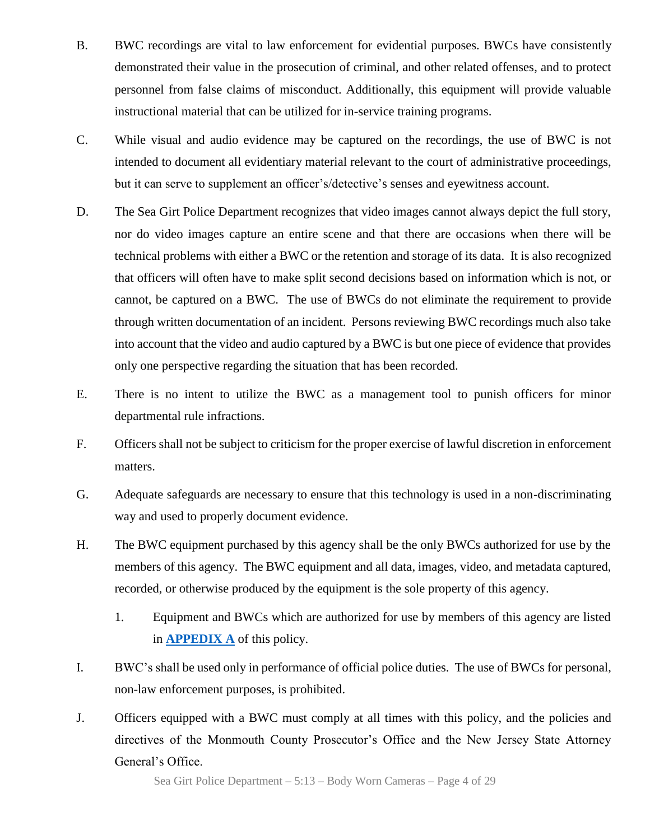- B. BWC recordings are vital to law enforcement for evidential purposes. BWCs have consistently demonstrated their value in the prosecution of criminal, and other related offenses, and to protect personnel from false claims of misconduct. Additionally, this equipment will provide valuable instructional material that can be utilized for in-service training programs.
- C. While visual and audio evidence may be captured on the recordings, the use of BWC is not intended to document all evidentiary material relevant to the court of administrative proceedings, but it can serve to supplement an officer's/detective's senses and eyewitness account.
- D. The Sea Girt Police Department recognizes that video images cannot always depict the full story, nor do video images capture an entire scene and that there are occasions when there will be technical problems with either a BWC or the retention and storage of its data. It is also recognized that officers will often have to make split second decisions based on information which is not, or cannot, be captured on a BWC. The use of BWCs do not eliminate the requirement to provide through written documentation of an incident. Persons reviewing BWC recordings much also take into account that the video and audio captured by a BWC is but one piece of evidence that provides only one perspective regarding the situation that has been recorded.
- E. There is no intent to utilize the BWC as a management tool to punish officers for minor departmental rule infractions.
- F. Officers shall not be subject to criticism for the proper exercise of lawful discretion in enforcement matters.
- G. Adequate safeguards are necessary to ensure that this technology is used in a non-discriminating way and used to properly document evidence.
- H. The BWC equipment purchased by this agency shall be the only BWCs authorized for use by the members of this agency. The BWC equipment and all data, images, video, and metadata captured, recorded, or otherwise produced by the equipment is the sole property of this agency.
	- 1. Equipment and BWCs which are authorized for use by members of this agency are listed in **[APPEDIX A](#page-28-0)** of this policy.
- I. BWC's shall be used only in performance of official police duties. The use of BWCs for personal, non-law enforcement purposes, is prohibited.
- J. Officers equipped with a BWC must comply at all times with this policy, and the policies and directives of the Monmouth County Prosecutor's Office and the New Jersey State Attorney General's Office.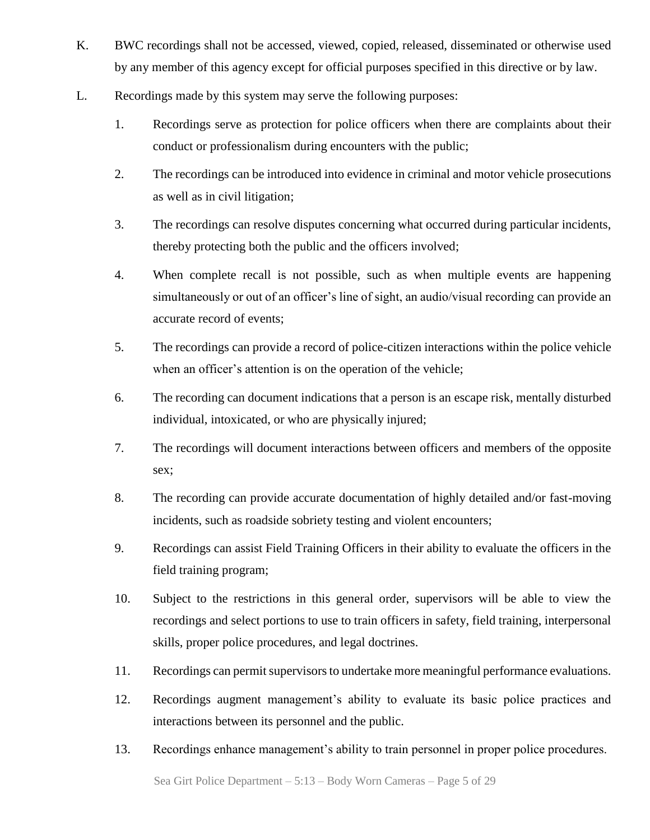- K. BWC recordings shall not be accessed, viewed, copied, released, disseminated or otherwise used by any member of this agency except for official purposes specified in this directive or by law.
- L. Recordings made by this system may serve the following purposes:
	- 1. Recordings serve as protection for police officers when there are complaints about their conduct or professionalism during encounters with the public;
	- 2. The recordings can be introduced into evidence in criminal and motor vehicle prosecutions as well as in civil litigation;
	- 3. The recordings can resolve disputes concerning what occurred during particular incidents, thereby protecting both the public and the officers involved;
	- 4. When complete recall is not possible, such as when multiple events are happening simultaneously or out of an officer's line of sight, an audio/visual recording can provide an accurate record of events;
	- 5. The recordings can provide a record of police-citizen interactions within the police vehicle when an officer's attention is on the operation of the vehicle;
	- 6. The recording can document indications that a person is an escape risk, mentally disturbed individual, intoxicated, or who are physically injured;
	- 7. The recordings will document interactions between officers and members of the opposite sex;
	- 8. The recording can provide accurate documentation of highly detailed and/or fast-moving incidents, such as roadside sobriety testing and violent encounters;
	- 9. Recordings can assist Field Training Officers in their ability to evaluate the officers in the field training program;
	- 10. Subject to the restrictions in this general order, supervisors will be able to view the recordings and select portions to use to train officers in safety, field training, interpersonal skills, proper police procedures, and legal doctrines.
	- 11. Recordings can permit supervisors to undertake more meaningful performance evaluations.
	- 12. Recordings augment management's ability to evaluate its basic police practices and interactions between its personnel and the public.
	- 13. Recordings enhance management's ability to train personnel in proper police procedures.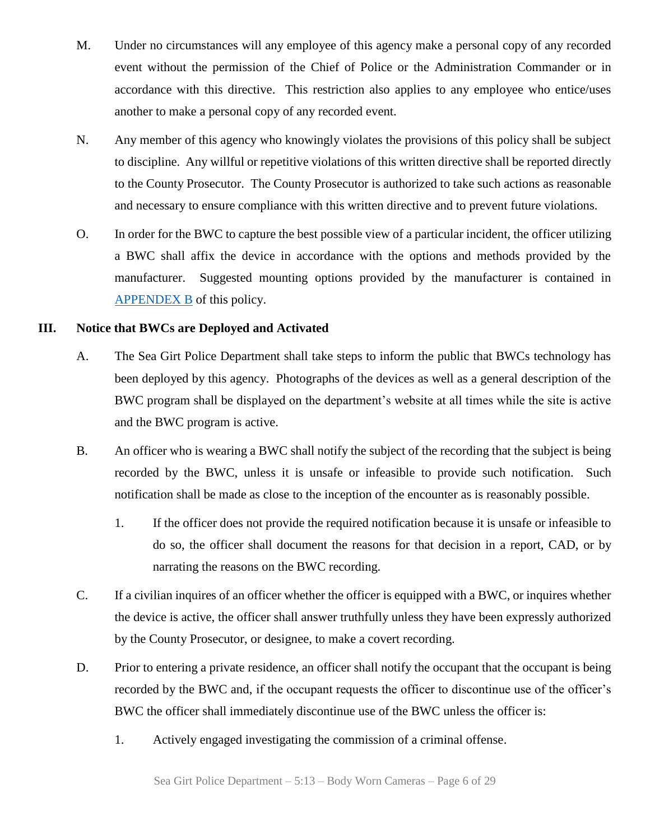- M. Under no circumstances will any employee of this agency make a personal copy of any recorded event without the permission of the Chief of Police or the Administration Commander or in accordance with this directive. This restriction also applies to any employee who entice/uses another to make a personal copy of any recorded event.
- N. Any member of this agency who knowingly violates the provisions of this policy shall be subject to discipline. Any willful or repetitive violations of this written directive shall be reported directly to the County Prosecutor. The County Prosecutor is authorized to take such actions as reasonable and necessary to ensure compliance with this written directive and to prevent future violations.
- O. In order for the BWC to capture the best possible view of a particular incident, the officer utilizing a BWC shall affix the device in accordance with the options and methods provided by the manufacturer. Suggested mounting options provided by the manufacturer is contained in [APPENDEX B](#page-20-0) of this policy.

### **III. Notice that BWCs are Deployed and Activated**

- A. The Sea Girt Police Department shall take steps to inform the public that BWCs technology has been deployed by this agency. Photographs of the devices as well as a general description of the BWC program shall be displayed on the department's website at all times while the site is active and the BWC program is active.
- B. An officer who is wearing a BWC shall notify the subject of the recording that the subject is being recorded by the BWC, unless it is unsafe or infeasible to provide such notification. Such notification shall be made as close to the inception of the encounter as is reasonably possible.
	- 1. If the officer does not provide the required notification because it is unsafe or infeasible to do so, the officer shall document the reasons for that decision in a report, CAD, or by narrating the reasons on the BWC recording.
- C. If a civilian inquires of an officer whether the officer is equipped with a BWC, or inquires whether the device is active, the officer shall answer truthfully unless they have been expressly authorized by the County Prosecutor, or designee, to make a covert recording.
- D. Prior to entering a private residence, an officer shall notify the occupant that the occupant is being recorded by the BWC and, if the occupant requests the officer to discontinue use of the officer's BWC the officer shall immediately discontinue use of the BWC unless the officer is:
	- 1. Actively engaged investigating the commission of a criminal offense.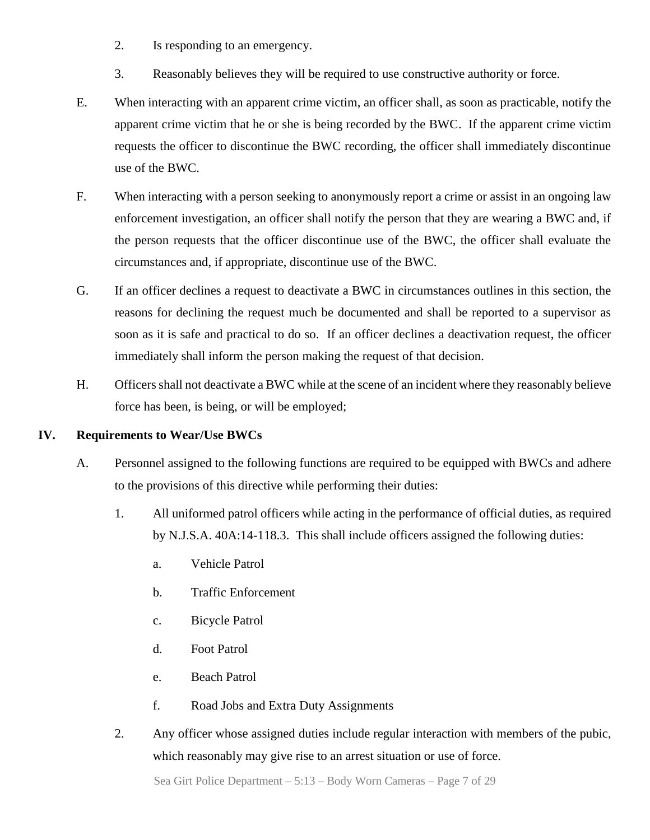- 2. Is responding to an emergency.
- 3. Reasonably believes they will be required to use constructive authority or force.
- E. When interacting with an apparent crime victim, an officer shall, as soon as practicable, notify the apparent crime victim that he or she is being recorded by the BWC. If the apparent crime victim requests the officer to discontinue the BWC recording, the officer shall immediately discontinue use of the BWC.
- F. When interacting with a person seeking to anonymously report a crime or assist in an ongoing law enforcement investigation, an officer shall notify the person that they are wearing a BWC and, if the person requests that the officer discontinue use of the BWC, the officer shall evaluate the circumstances and, if appropriate, discontinue use of the BWC.
- G. If an officer declines a request to deactivate a BWC in circumstances outlines in this section, the reasons for declining the request much be documented and shall be reported to a supervisor as soon as it is safe and practical to do so. If an officer declines a deactivation request, the officer immediately shall inform the person making the request of that decision.
- H. Officers shall not deactivate a BWC while at the scene of an incident where they reasonably believe force has been, is being, or will be employed;

# **IV. Requirements to Wear/Use BWCs**

- A. Personnel assigned to the following functions are required to be equipped with BWCs and adhere to the provisions of this directive while performing their duties:
	- 1. All uniformed patrol officers while acting in the performance of official duties, as required by N.J.S.A. 40A:14-118.3. This shall include officers assigned the following duties:
		- a. Vehicle Patrol
		- b. Traffic Enforcement
		- c. Bicycle Patrol
		- d. Foot Patrol
		- e. Beach Patrol
		- f. Road Jobs and Extra Duty Assignments
	- 2. Any officer whose assigned duties include regular interaction with members of the pubic, which reasonably may give rise to an arrest situation or use of force.

Sea Girt Police Department – 5:13 – Body Worn Cameras – Page 7 of 29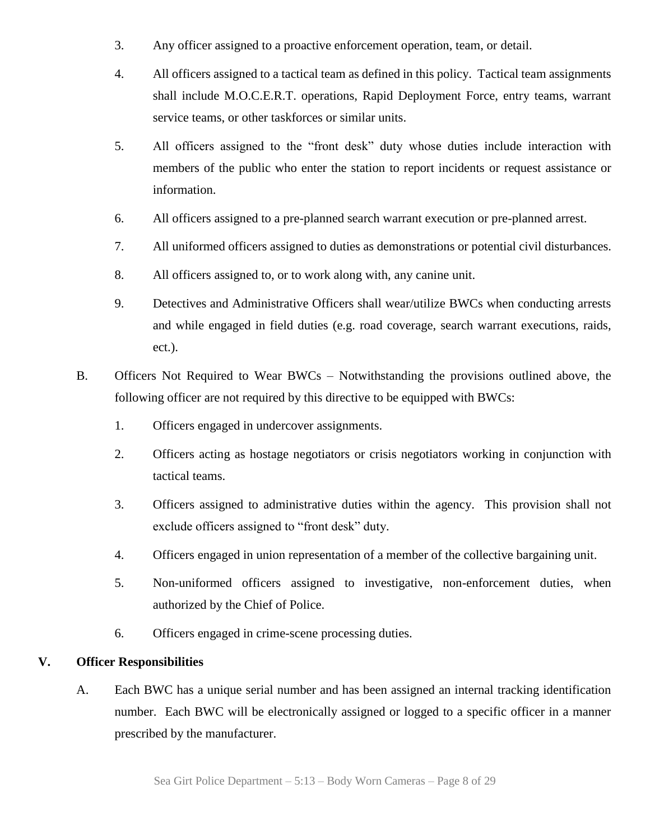- 3. Any officer assigned to a proactive enforcement operation, team, or detail.
- 4. All officers assigned to a tactical team as defined in this policy. Tactical team assignments shall include M.O.C.E.R.T. operations, Rapid Deployment Force, entry teams, warrant service teams, or other taskforces or similar units.
- 5. All officers assigned to the "front desk" duty whose duties include interaction with members of the public who enter the station to report incidents or request assistance or information.
- 6. All officers assigned to a pre-planned search warrant execution or pre-planned arrest.
- 7. All uniformed officers assigned to duties as demonstrations or potential civil disturbances.
- 8. All officers assigned to, or to work along with, any canine unit.
- 9. Detectives and Administrative Officers shall wear/utilize BWCs when conducting arrests and while engaged in field duties (e.g. road coverage, search warrant executions, raids, ect.).
- B. Officers Not Required to Wear BWCs Notwithstanding the provisions outlined above, the following officer are not required by this directive to be equipped with BWCs:
	- 1. Officers engaged in undercover assignments.
	- 2. Officers acting as hostage negotiators or crisis negotiators working in conjunction with tactical teams.
	- 3. Officers assigned to administrative duties within the agency. This provision shall not exclude officers assigned to "front desk" duty.
	- 4. Officers engaged in union representation of a member of the collective bargaining unit.
	- 5. Non-uniformed officers assigned to investigative, non-enforcement duties, when authorized by the Chief of Police.
	- 6. Officers engaged in crime-scene processing duties.

# **V. Officer Responsibilities**

A. Each BWC has a unique serial number and has been assigned an internal tracking identification number. Each BWC will be electronically assigned or logged to a specific officer in a manner prescribed by the manufacturer.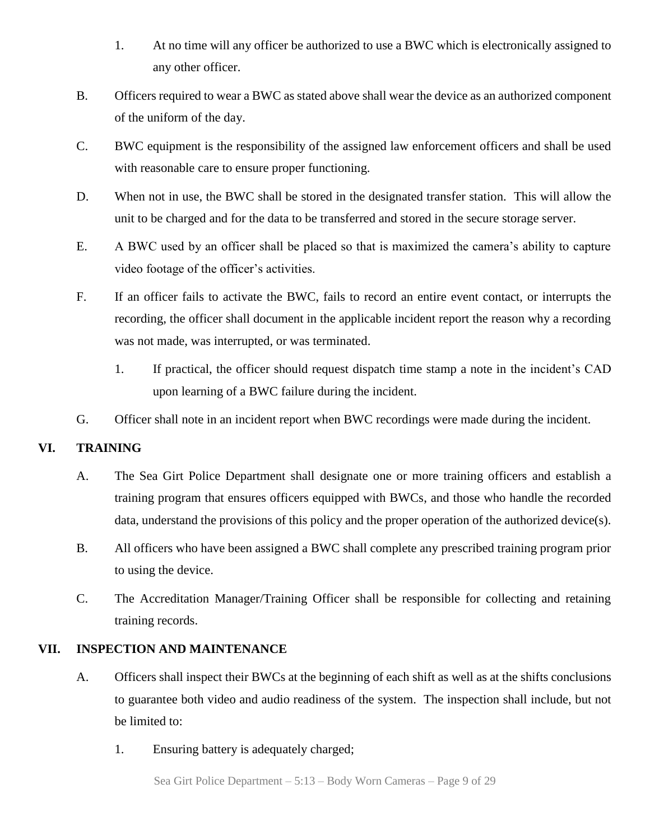- 1. At no time will any officer be authorized to use a BWC which is electronically assigned to any other officer.
- B. Officers required to wear a BWC as stated above shall wear the device as an authorized component of the uniform of the day.
- C. BWC equipment is the responsibility of the assigned law enforcement officers and shall be used with reasonable care to ensure proper functioning.
- D. When not in use, the BWC shall be stored in the designated transfer station. This will allow the unit to be charged and for the data to be transferred and stored in the secure storage server.
- E. A BWC used by an officer shall be placed so that is maximized the camera's ability to capture video footage of the officer's activities.
- F. If an officer fails to activate the BWC, fails to record an entire event contact, or interrupts the recording, the officer shall document in the applicable incident report the reason why a recording was not made, was interrupted, or was terminated.
	- 1. If practical, the officer should request dispatch time stamp a note in the incident's CAD upon learning of a BWC failure during the incident.
- G. Officer shall note in an incident report when BWC recordings were made during the incident.

# **VI. TRAINING**

- A. The Sea Girt Police Department shall designate one or more training officers and establish a training program that ensures officers equipped with BWCs, and those who handle the recorded data, understand the provisions of this policy and the proper operation of the authorized device(s).
- B. All officers who have been assigned a BWC shall complete any prescribed training program prior to using the device.
- C. The Accreditation Manager/Training Officer shall be responsible for collecting and retaining training records.

#### **VII. INSPECTION AND MAINTENANCE**

- A. Officers shall inspect their BWCs at the beginning of each shift as well as at the shifts conclusions to guarantee both video and audio readiness of the system. The inspection shall include, but not be limited to:
	- 1. Ensuring battery is adequately charged;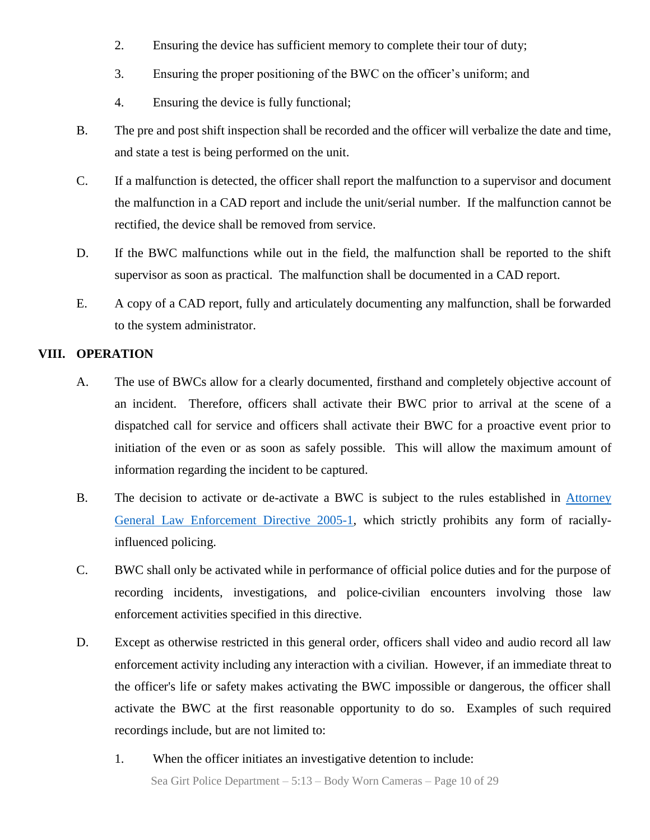- 2. Ensuring the device has sufficient memory to complete their tour of duty;
- 3. Ensuring the proper positioning of the BWC on the officer's uniform; and
- 4. Ensuring the device is fully functional;
- B. The pre and post shift inspection shall be recorded and the officer will verbalize the date and time, and state a test is being performed on the unit.
- C. If a malfunction is detected, the officer shall report the malfunction to a supervisor and document the malfunction in a CAD report and include the unit/serial number. If the malfunction cannot be rectified, the device shall be removed from service.
- D. If the BWC malfunctions while out in the field, the malfunction shall be reported to the shift supervisor as soon as practical. The malfunction shall be documented in a CAD report.
- E. A copy of a CAD report, fully and articulately documenting any malfunction, shall be forwarded to the system administrator.

#### **VIII. OPERATION**

- A. The use of BWCs allow for a clearly documented, firsthand and completely objective account of an incident. Therefore, officers shall activate their BWC prior to arrival at the scene of a dispatched call for service and officers shall activate their BWC for a proactive event prior to initiation of the even or as soon as safely possible. This will allow the maximum amount of information regarding the incident to be captured.
- B. The decision to activate or de-activate a BWC is subject to the rules established in [Attorney](http://www.nj.gov/oag/dcj/agguide/directives/racial-profiling/pdfs/law-enforce-dir-2005-1.pdf)  [General Law Enforcement Directive 2005-1,](http://www.nj.gov/oag/dcj/agguide/directives/racial-profiling/pdfs/law-enforce-dir-2005-1.pdf) which strictly prohibits any form of raciallyinfluenced policing.
- C. BWC shall only be activated while in performance of official police duties and for the purpose of recording incidents, investigations, and police-civilian encounters involving those law enforcement activities specified in this directive.
- D. Except as otherwise restricted in this general order, officers shall video and audio record all law enforcement activity including any interaction with a civilian. However, if an immediate threat to the officer's life or safety makes activating the BWC impossible or dangerous, the officer shall activate the BWC at the first reasonable opportunity to do so. Examples of such required recordings include, but are not limited to:
	- Sea Girt Police Department 5:13 Body Worn Cameras Page 10 of 29 1. When the officer initiates an investigative detention to include: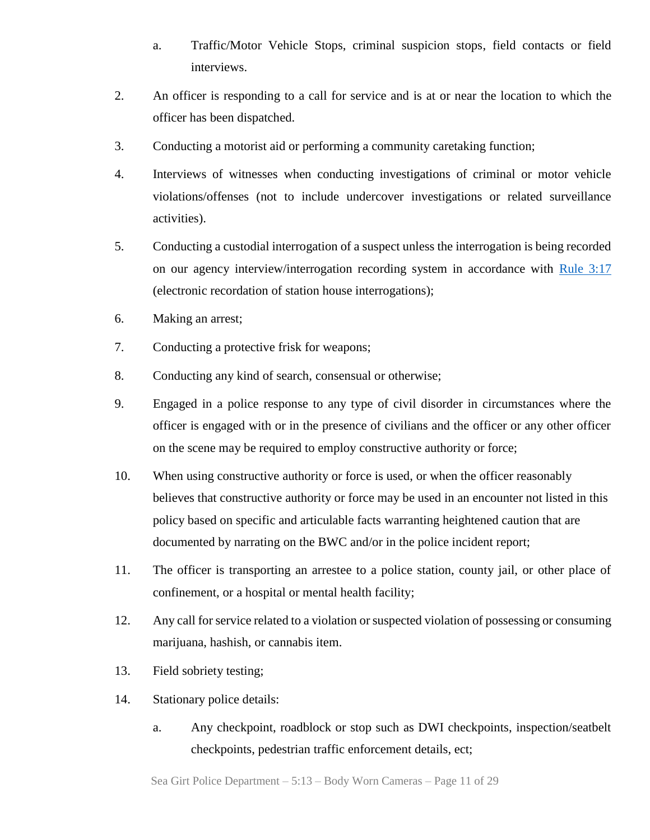- a. Traffic/Motor Vehicle Stops, criminal suspicion stops, field contacts or field interviews.
- 2. An officer is responding to a call for service and is at or near the location to which the officer has been dispatched.
- 3. Conducting a motorist aid or performing a community caretaking function;
- 4. Interviews of witnesses when conducting investigations of criminal or motor vehicle violations/offenses (not to include undercover investigations or related surveillance activities).
- 5. Conducting a custodial interrogation of a suspect unless the interrogation is being recorded on our agency interview/interrogation recording system in accordance with [Rule 3:17](https://www.judiciary.state.nj.us/rules/r3-17.htm) (electronic recordation of station house interrogations);
- 6. Making an arrest;
- 7. Conducting a protective frisk for weapons;
- 8. Conducting any kind of search, consensual or otherwise;
- 9. Engaged in a police response to any type of civil disorder in circumstances where the officer is engaged with or in the presence of civilians and the officer or any other officer on the scene may be required to employ constructive authority or force;
- 10. When using constructive authority or force is used, or when the officer reasonably believes that constructive authority or force may be used in an encounter not listed in this policy based on specific and articulable facts warranting heightened caution that are documented by narrating on the BWC and/or in the police incident report;
- 11. The officer is transporting an arrestee to a police station, county jail, or other place of confinement, or a hospital or mental health facility;
- 12. Any call for service related to a violation or suspected violation of possessing or consuming marijuana, hashish, or cannabis item.
- 13. Field sobriety testing;
- 14. Stationary police details:
	- a. Any checkpoint, roadblock or stop such as DWI checkpoints, inspection/seatbelt checkpoints, pedestrian traffic enforcement details, ect;

Sea Girt Police Department – 5:13 – Body Worn Cameras – Page 11 of 29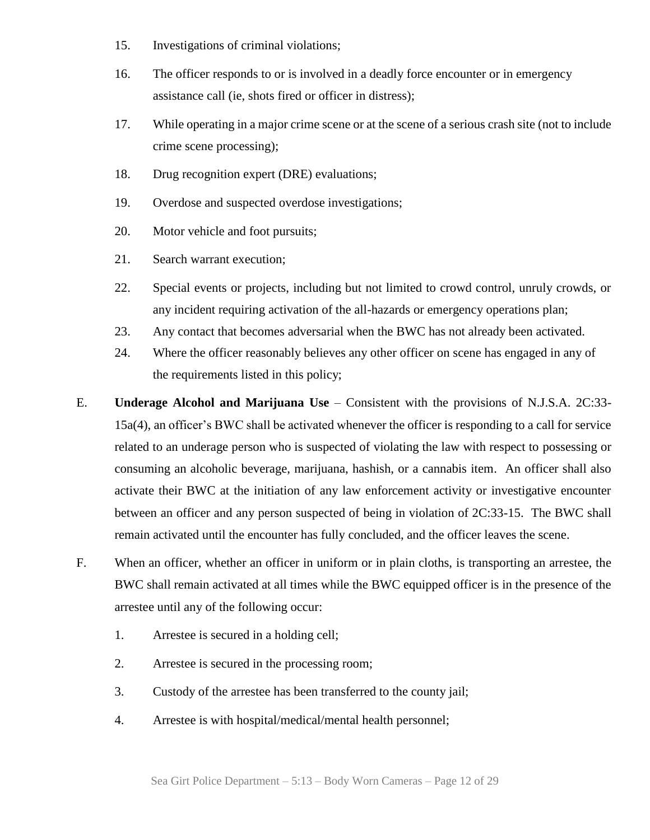- 15. Investigations of criminal violations;
- 16. The officer responds to or is involved in a deadly force encounter or in emergency assistance call (ie, shots fired or officer in distress);
- 17. While operating in a major crime scene or at the scene of a serious crash site (not to include crime scene processing);
- 18. Drug recognition expert (DRE) evaluations;
- 19. Overdose and suspected overdose investigations;
- 20. Motor vehicle and foot pursuits;
- 21. Search warrant execution;
- 22. Special events or projects, including but not limited to crowd control, unruly crowds, or any incident requiring activation of the all-hazards or emergency operations plan;
- 23. Any contact that becomes adversarial when the BWC has not already been activated.
- 24. Where the officer reasonably believes any other officer on scene has engaged in any of the requirements listed in this policy;
- E. **Underage Alcohol and Marijuana Use** Consistent with the provisions of N.J.S.A. 2C:33- 15a(4), an officer's BWC shall be activated whenever the officer is responding to a call for service related to an underage person who is suspected of violating the law with respect to possessing or consuming an alcoholic beverage, marijuana, hashish, or a cannabis item. An officer shall also activate their BWC at the initiation of any law enforcement activity or investigative encounter between an officer and any person suspected of being in violation of 2C:33-15. The BWC shall remain activated until the encounter has fully concluded, and the officer leaves the scene.
- F. When an officer, whether an officer in uniform or in plain cloths, is transporting an arrestee, the BWC shall remain activated at all times while the BWC equipped officer is in the presence of the arrestee until any of the following occur:
	- 1. Arrestee is secured in a holding cell;
	- 2. Arrestee is secured in the processing room;
	- 3. Custody of the arrestee has been transferred to the county jail;
	- 4. Arrestee is with hospital/medical/mental health personnel;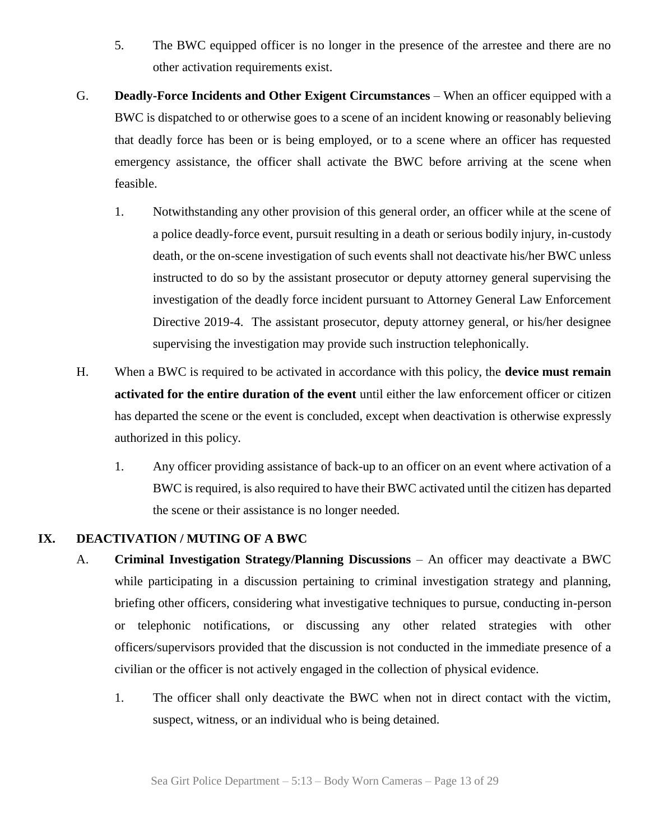- 5. The BWC equipped officer is no longer in the presence of the arrestee and there are no other activation requirements exist.
- G. **Deadly-Force Incidents and Other Exigent Circumstances** When an officer equipped with a BWC is dispatched to or otherwise goes to a scene of an incident knowing or reasonably believing that deadly force has been or is being employed, or to a scene where an officer has requested emergency assistance, the officer shall activate the BWC before arriving at the scene when feasible.
	- 1. Notwithstanding any other provision of this general order, an officer while at the scene of a police deadly-force event, pursuit resulting in a death or serious bodily injury, in-custody death, or the on-scene investigation of such events shall not deactivate his/her BWC unless instructed to do so by the assistant prosecutor or deputy attorney general supervising the investigation of the deadly force incident pursuant to Attorney General Law Enforcement Directive 2019-4. The assistant prosecutor, deputy attorney general, or his/her designee supervising the investigation may provide such instruction telephonically.
- H. When a BWC is required to be activated in accordance with this policy, the **device must remain activated for the entire duration of the event** until either the law enforcement officer or citizen has departed the scene or the event is concluded, except when deactivation is otherwise expressly authorized in this policy.
	- 1. Any officer providing assistance of back-up to an officer on an event where activation of a BWC is required, is also required to have their BWC activated until the citizen has departed the scene or their assistance is no longer needed.

# **IX. DEACTIVATION / MUTING OF A BWC**

- A. **Criminal Investigation Strategy/Planning Discussions** An officer may deactivate a BWC while participating in a discussion pertaining to criminal investigation strategy and planning, briefing other officers, considering what investigative techniques to pursue, conducting in-person or telephonic notifications, or discussing any other related strategies with other officers/supervisors provided that the discussion is not conducted in the immediate presence of a civilian or the officer is not actively engaged in the collection of physical evidence.
	- 1. The officer shall only deactivate the BWC when not in direct contact with the victim, suspect, witness, or an individual who is being detained.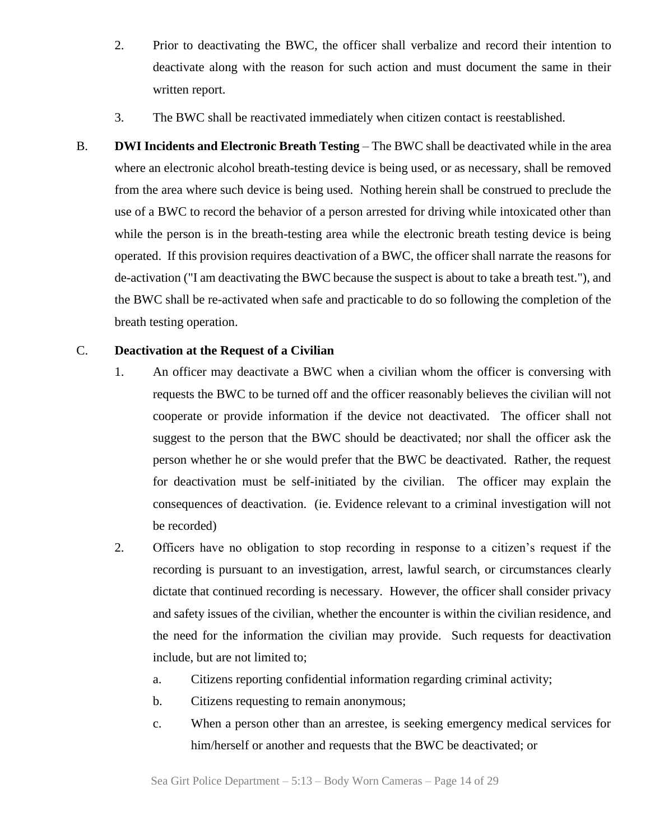- 2. Prior to deactivating the BWC, the officer shall verbalize and record their intention to deactivate along with the reason for such action and must document the same in their written report.
- 3. The BWC shall be reactivated immediately when citizen contact is reestablished.
- B. **DWI Incidents and Electronic Breath Testing** The BWC shall be deactivated while in the area where an electronic alcohol breath-testing device is being used, or as necessary, shall be removed from the area where such device is being used. Nothing herein shall be construed to preclude the use of a BWC to record the behavior of a person arrested for driving while intoxicated other than while the person is in the breath-testing area while the electronic breath testing device is being operated. If this provision requires deactivation of a BWC, the officer shall narrate the reasons for de-activation ("I am deactivating the BWC because the suspect is about to take a breath test."), and the BWC shall be re-activated when safe and practicable to do so following the completion of the breath testing operation.

#### C. **Deactivation at the Request of a Civilian**

- 1. An officer may deactivate a BWC when a civilian whom the officer is conversing with requests the BWC to be turned off and the officer reasonably believes the civilian will not cooperate or provide information if the device not deactivated. The officer shall not suggest to the person that the BWC should be deactivated; nor shall the officer ask the person whether he or she would prefer that the BWC be deactivated. Rather, the request for deactivation must be self-initiated by the civilian. The officer may explain the consequences of deactivation. (ie. Evidence relevant to a criminal investigation will not be recorded)
- 2. Officers have no obligation to stop recording in response to a citizen's request if the recording is pursuant to an investigation, arrest, lawful search, or circumstances clearly dictate that continued recording is necessary. However, the officer shall consider privacy and safety issues of the civilian, whether the encounter is within the civilian residence, and the need for the information the civilian may provide. Such requests for deactivation include, but are not limited to;
	- a. Citizens reporting confidential information regarding criminal activity;
	- b. Citizens requesting to remain anonymous;
	- c. When a person other than an arrestee, is seeking emergency medical services for him/herself or another and requests that the BWC be deactivated; or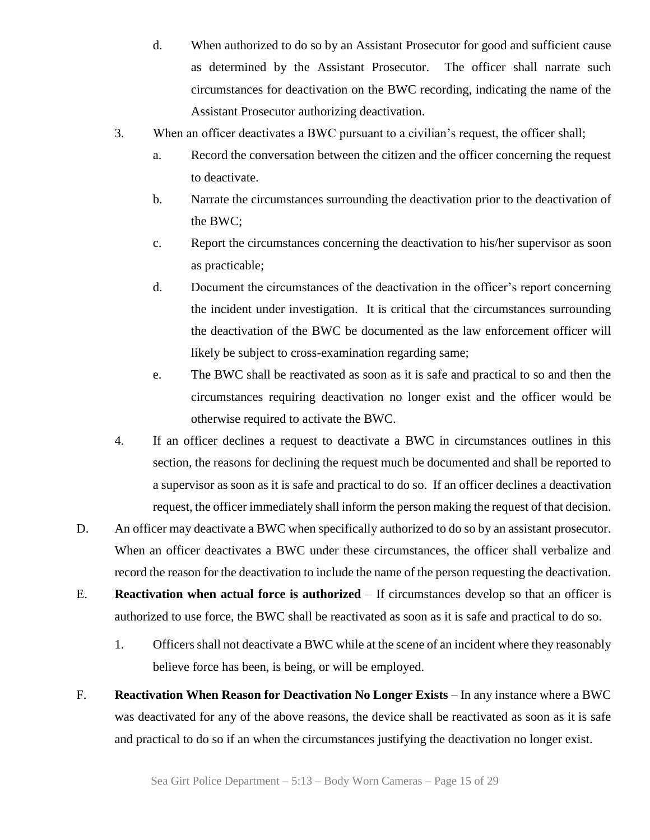- d. When authorized to do so by an Assistant Prosecutor for good and sufficient cause as determined by the Assistant Prosecutor. The officer shall narrate such circumstances for deactivation on the BWC recording, indicating the name of the Assistant Prosecutor authorizing deactivation.
- 3. When an officer deactivates a BWC pursuant to a civilian's request, the officer shall;
	- a. Record the conversation between the citizen and the officer concerning the request to deactivate.
	- b. Narrate the circumstances surrounding the deactivation prior to the deactivation of the BWC;
	- c. Report the circumstances concerning the deactivation to his/her supervisor as soon as practicable;
	- d. Document the circumstances of the deactivation in the officer's report concerning the incident under investigation. It is critical that the circumstances surrounding the deactivation of the BWC be documented as the law enforcement officer will likely be subject to cross-examination regarding same;
	- e. The BWC shall be reactivated as soon as it is safe and practical to so and then the circumstances requiring deactivation no longer exist and the officer would be otherwise required to activate the BWC.
- 4. If an officer declines a request to deactivate a BWC in circumstances outlines in this section, the reasons for declining the request much be documented and shall be reported to a supervisor as soon as it is safe and practical to do so. If an officer declines a deactivation request, the officer immediately shall inform the person making the request of that decision.
- D. An officer may deactivate a BWC when specifically authorized to do so by an assistant prosecutor. When an officer deactivates a BWC under these circumstances, the officer shall verbalize and record the reason for the deactivation to include the name of the person requesting the deactivation.
- E. **Reactivation when actual force is authorized**  If circumstances develop so that an officer is authorized to use force, the BWC shall be reactivated as soon as it is safe and practical to do so.
	- 1. Officers shall not deactivate a BWC while at the scene of an incident where they reasonably believe force has been, is being, or will be employed.
- F. **Reactivation When Reason for Deactivation No Longer Exists** In any instance where a BWC was deactivated for any of the above reasons, the device shall be reactivated as soon as it is safe and practical to do so if an when the circumstances justifying the deactivation no longer exist.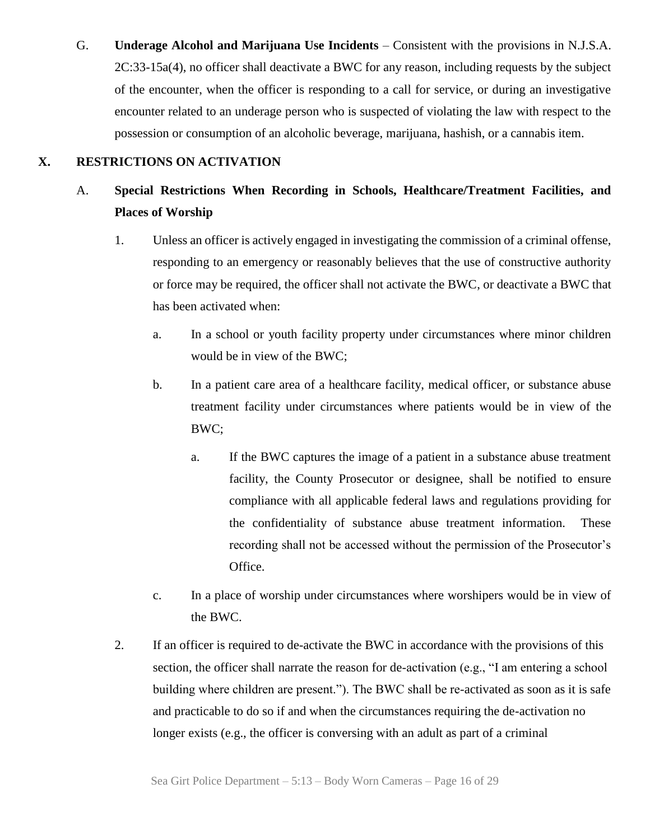G. **Underage Alcohol and Marijuana Use Incidents** – Consistent with the provisions in N.J.S.A. 2C:33-15a(4), no officer shall deactivate a BWC for any reason, including requests by the subject of the encounter, when the officer is responding to a call for service, or during an investigative encounter related to an underage person who is suspected of violating the law with respect to the possession or consumption of an alcoholic beverage, marijuana, hashish, or a cannabis item.

# **X. RESTRICTIONS ON ACTIVATION**

# A. **Special Restrictions When Recording in Schools, Healthcare/Treatment Facilities, and Places of Worship**

- 1. Unless an officer is actively engaged in investigating the commission of a criminal offense, responding to an emergency or reasonably believes that the use of constructive authority or force may be required, the officer shall not activate the BWC, or deactivate a BWC that has been activated when:
	- a. In a school or youth facility property under circumstances where minor children would be in view of the BWC;
	- b. In a patient care area of a healthcare facility, medical officer, or substance abuse treatment facility under circumstances where patients would be in view of the BWC;
		- a. If the BWC captures the image of a patient in a substance abuse treatment facility, the County Prosecutor or designee, shall be notified to ensure compliance with all applicable federal laws and regulations providing for the confidentiality of substance abuse treatment information. These recording shall not be accessed without the permission of the Prosecutor's Office.
	- c. In a place of worship under circumstances where worshipers would be in view of the BWC.
- 2. If an officer is required to de-activate the BWC in accordance with the provisions of this section, the officer shall narrate the reason for de-activation (e.g., "I am entering a school building where children are present."). The BWC shall be re-activated as soon as it is safe and practicable to do so if and when the circumstances requiring the de-activation no longer exists (e.g., the officer is conversing with an adult as part of a criminal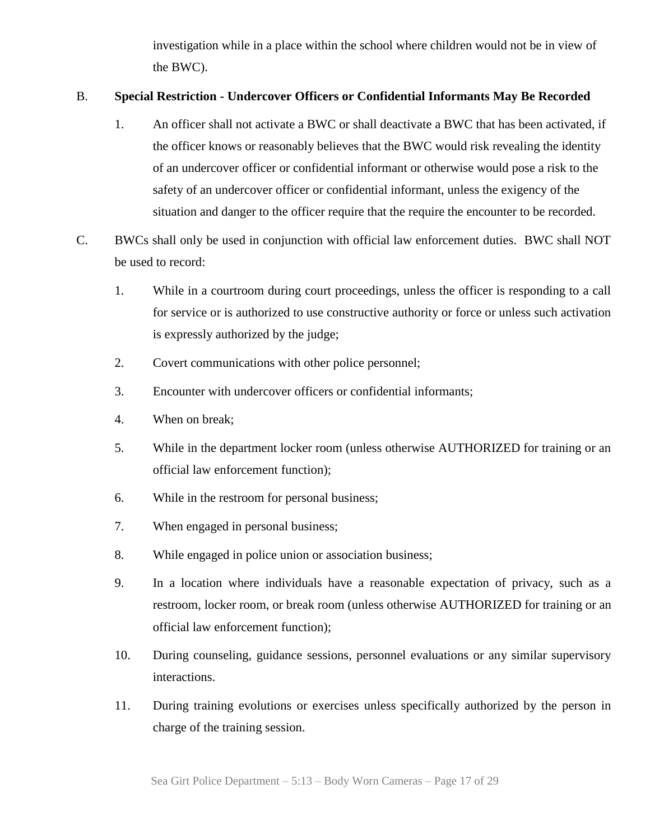investigation while in a place within the school where children would not be in view of the BWC).

# B. **Special Restriction - Undercover Officers or Confidential Informants May Be Recorded**

- 1. An officer shall not activate a BWC or shall deactivate a BWC that has been activated, if the officer knows or reasonably believes that the BWC would risk revealing the identity of an undercover officer or confidential informant or otherwise would pose a risk to the safety of an undercover officer or confidential informant, unless the exigency of the situation and danger to the officer require that the require the encounter to be recorded.
- C. BWCs shall only be used in conjunction with official law enforcement duties. BWC shall NOT be used to record:
	- 1. While in a courtroom during court proceedings, unless the officer is responding to a call for service or is authorized to use constructive authority or force or unless such activation is expressly authorized by the judge;
	- 2. Covert communications with other police personnel;
	- 3. Encounter with undercover officers or confidential informants;
	- 4. When on break;
	- 5. While in the department locker room (unless otherwise AUTHORIZED for training or an official law enforcement function);
	- 6. While in the restroom for personal business;
	- 7. When engaged in personal business;
	- 8. While engaged in police union or association business;
	- 9. In a location where individuals have a reasonable expectation of privacy, such as a restroom, locker room, or break room (unless otherwise AUTHORIZED for training or an official law enforcement function);
	- 10. During counseling, guidance sessions, personnel evaluations or any similar supervisory interactions.
	- 11. During training evolutions or exercises unless specifically authorized by the person in charge of the training session.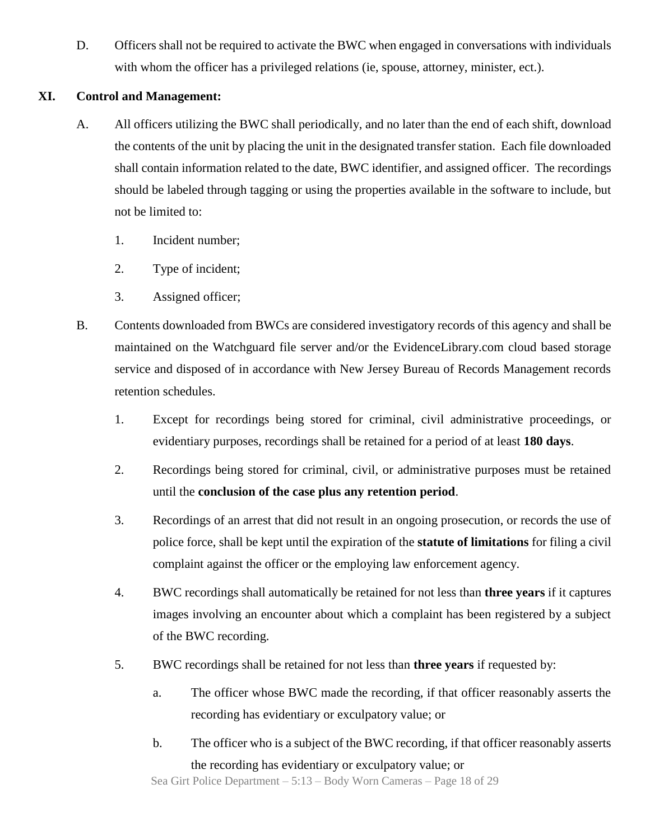D. Officers shall not be required to activate the BWC when engaged in conversations with individuals with whom the officer has a privileged relations (ie, spouse, attorney, minister, ect.).

## **XI. Control and Management:**

- A. All officers utilizing the BWC shall periodically, and no later than the end of each shift, download the contents of the unit by placing the unit in the designated transfer station. Each file downloaded shall contain information related to the date, BWC identifier, and assigned officer. The recordings should be labeled through tagging or using the properties available in the software to include, but not be limited to:
	- 1. Incident number;
	- 2. Type of incident;
	- 3. Assigned officer;
- B. Contents downloaded from BWCs are considered investigatory records of this agency and shall be maintained on the Watchguard file server and/or the EvidenceLibrary.com cloud based storage service and disposed of in accordance with New Jersey Bureau of Records Management records retention schedules.
	- 1. Except for recordings being stored for criminal, civil administrative proceedings, or evidentiary purposes, recordings shall be retained for a period of at least **180 days**.
	- 2. Recordings being stored for criminal, civil, or administrative purposes must be retained until the **conclusion of the case plus any retention period**.
	- 3. Recordings of an arrest that did not result in an ongoing prosecution, or records the use of police force, shall be kept until the expiration of the **statute of limitations** for filing a civil complaint against the officer or the employing law enforcement agency.
	- 4. BWC recordings shall automatically be retained for not less than **three years** if it captures images involving an encounter about which a complaint has been registered by a subject of the BWC recording.
	- 5. BWC recordings shall be retained for not less than **three years** if requested by:
		- a. The officer whose BWC made the recording, if that officer reasonably asserts the recording has evidentiary or exculpatory value; or
		- b. The officer who is a subject of the BWC recording, if that officer reasonably asserts the recording has evidentiary or exculpatory value; or

Sea Girt Police Department – 5:13 – Body Worn Cameras – Page 18 of 29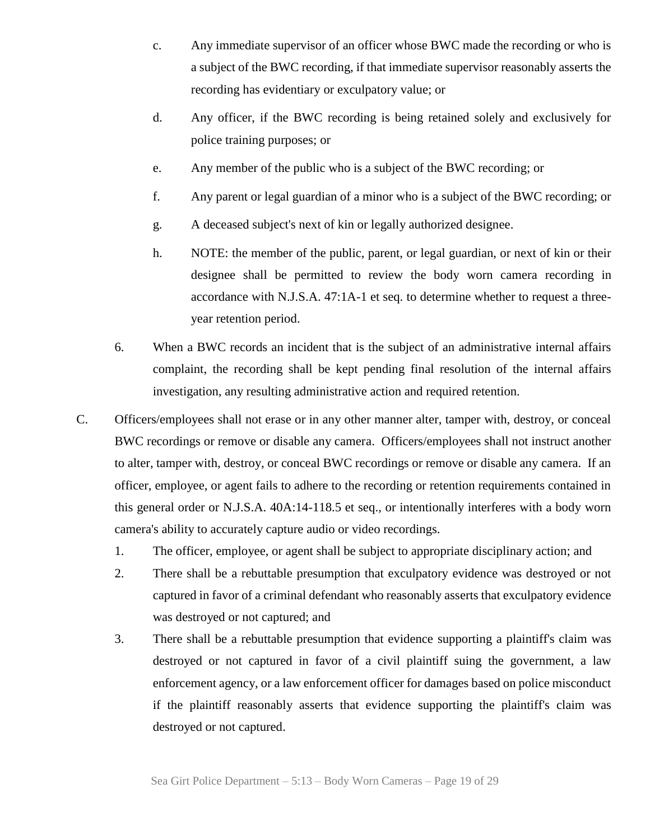- c. Any immediate supervisor of an officer whose BWC made the recording or who is a subject of the BWC recording, if that immediate supervisor reasonably asserts the recording has evidentiary or exculpatory value; or
- d. Any officer, if the BWC recording is being retained solely and exclusively for police training purposes; or
- e. Any member of the public who is a subject of the BWC recording; or
- f. Any parent or legal guardian of a minor who is a subject of the BWC recording; or
- g. A deceased subject's next of kin or legally authorized designee.
- h. NOTE: the member of the public, parent, or legal guardian, or next of kin or their designee shall be permitted to review the body worn camera recording in accordance with N.J.S.A. 47:1A-1 et seq. to determine whether to request a threeyear retention period.
- 6. When a BWC records an incident that is the subject of an administrative internal affairs complaint, the recording shall be kept pending final resolution of the internal affairs investigation, any resulting administrative action and required retention.
- C. Officers/employees shall not erase or in any other manner alter, tamper with, destroy, or conceal BWC recordings or remove or disable any camera. Officers/employees shall not instruct another to alter, tamper with, destroy, or conceal BWC recordings or remove or disable any camera. If an officer, employee, or agent fails to adhere to the recording or retention requirements contained in this general order or N.J.S.A. 40A:14-118.5 et seq., or intentionally interferes with a body worn camera's ability to accurately capture audio or video recordings.
	- 1. The officer, employee, or agent shall be subject to appropriate disciplinary action; and
	- 2. There shall be a rebuttable presumption that exculpatory evidence was destroyed or not captured in favor of a criminal defendant who reasonably asserts that exculpatory evidence was destroyed or not captured; and
	- 3. There shall be a rebuttable presumption that evidence supporting a plaintiff's claim was destroyed or not captured in favor of a civil plaintiff suing the government, a law enforcement agency, or a law enforcement officer for damages based on police misconduct if the plaintiff reasonably asserts that evidence supporting the plaintiff's claim was destroyed or not captured.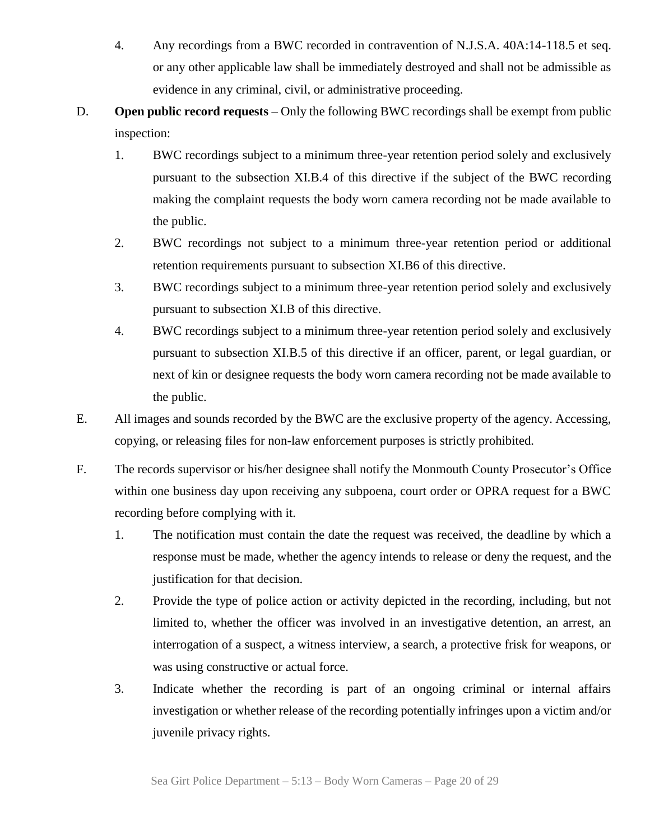- 4. Any recordings from a BWC recorded in contravention of N.J.S.A. 40A:14-118.5 et seq. or any other applicable law shall be immediately destroyed and shall not be admissible as evidence in any criminal, civil, or administrative proceeding.
- D. **Open public record requests** Only the following BWC recordings shall be exempt from public inspection:
	- 1. BWC recordings subject to a minimum three-year retention period solely and exclusively pursuant to the subsection XI.B.4 of this directive if the subject of the BWC recording making the complaint requests the body worn camera recording not be made available to the public.
	- 2. BWC recordings not subject to a minimum three-year retention period or additional retention requirements pursuant to subsection XI.B6 of this directive.
	- 3. BWC recordings subject to a minimum three-year retention period solely and exclusively pursuant to subsection XI.B of this directive.
	- 4. BWC recordings subject to a minimum three-year retention period solely and exclusively pursuant to subsection XI.B.5 of this directive if an officer, parent, or legal guardian, or next of kin or designee requests the body worn camera recording not be made available to the public.
- E. All images and sounds recorded by the BWC are the exclusive property of the agency. Accessing, copying, or releasing files for non-law enforcement purposes is strictly prohibited.
- F. The records supervisor or his/her designee shall notify the Monmouth County Prosecutor's Office within one business day upon receiving any subpoena, court order or OPRA request for a BWC recording before complying with it.
	- 1. The notification must contain the date the request was received, the deadline by which a response must be made, whether the agency intends to release or deny the request, and the justification for that decision.
	- 2. Provide the type of police action or activity depicted in the recording, including, but not limited to, whether the officer was involved in an investigative detention, an arrest, an interrogation of a suspect, a witness interview, a search, a protective frisk for weapons, or was using constructive or actual force.
	- 3. Indicate whether the recording is part of an ongoing criminal or internal affairs investigation or whether release of the recording potentially infringes upon a victim and/or juvenile privacy rights.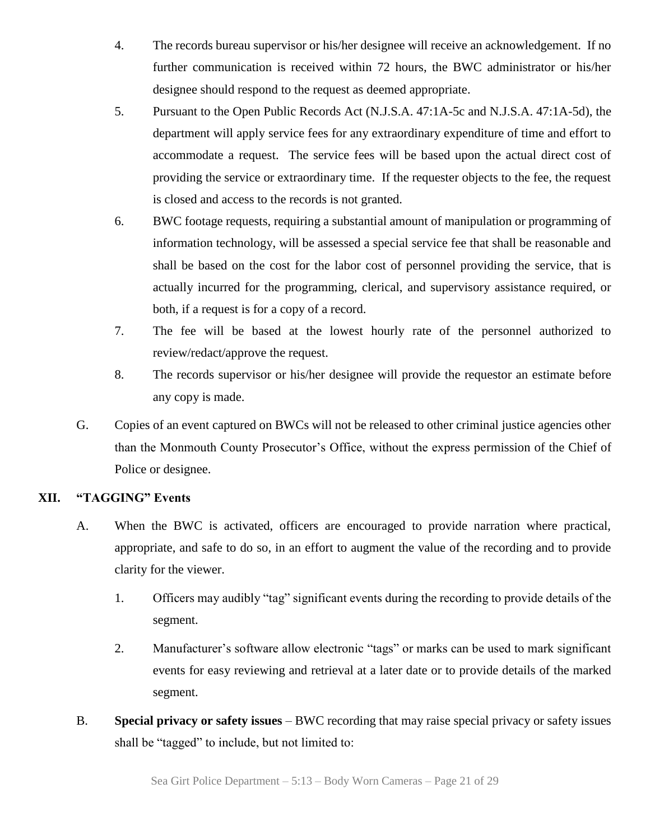- 4. The records bureau supervisor or his/her designee will receive an acknowledgement. If no further communication is received within 72 hours, the BWC administrator or his/her designee should respond to the request as deemed appropriate.
- 5. Pursuant to the Open Public Records Act (N.J.S.A. 47:1A-5c and N.J.S.A. 47:1A-5d), the department will apply service fees for any extraordinary expenditure of time and effort to accommodate a request. The service fees will be based upon the actual direct cost of providing the service or extraordinary time. If the requester objects to the fee, the request is closed and access to the records is not granted.
- 6. BWC footage requests, requiring a substantial amount of manipulation or programming of information technology, will be assessed a special service fee that shall be reasonable and shall be based on the cost for the labor cost of personnel providing the service, that is actually incurred for the programming, clerical, and supervisory assistance required, or both, if a request is for a copy of a record.
- 7. The fee will be based at the lowest hourly rate of the personnel authorized to review/redact/approve the request.
- 8. The records supervisor or his/her designee will provide the requestor an estimate before any copy is made.
- G. Copies of an event captured on BWCs will not be released to other criminal justice agencies other than the Monmouth County Prosecutor's Office, without the express permission of the Chief of Police or designee.

# **XII. "TAGGING" Events**

- A. When the BWC is activated, officers are encouraged to provide narration where practical, appropriate, and safe to do so, in an effort to augment the value of the recording and to provide clarity for the viewer.
	- 1. Officers may audibly "tag" significant events during the recording to provide details of the segment.
	- 2. Manufacturer's software allow electronic "tags" or marks can be used to mark significant events for easy reviewing and retrieval at a later date or to provide details of the marked segment.
- <span id="page-20-0"></span>B. **Special privacy or safety issues** – BWC recording that may raise special privacy or safety issues shall be "tagged" to include, but not limited to: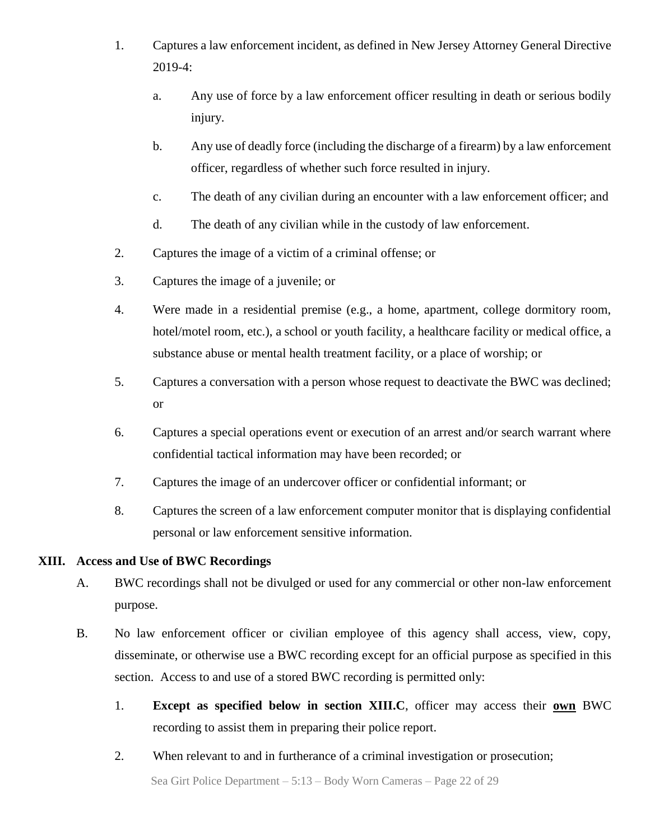- 1. Captures a law enforcement incident, as defined in New Jersey Attorney General Directive 2019-4:
	- a. Any use of force by a law enforcement officer resulting in death or serious bodily injury.
	- b. Any use of deadly force (including the discharge of a firearm) by a law enforcement officer, regardless of whether such force resulted in injury.
	- c. The death of any civilian during an encounter with a law enforcement officer; and
	- d. The death of any civilian while in the custody of law enforcement.
- 2. Captures the image of a victim of a criminal offense; or
- 3. Captures the image of a juvenile; or
- 4. Were made in a residential premise (e.g., a home, apartment, college dormitory room, hotel/motel room, etc.), a school or youth facility, a healthcare facility or medical office, a substance abuse or mental health treatment facility, or a place of worship; or
- 5. Captures a conversation with a person whose request to deactivate the BWC was declined; or
- 6. Captures a special operations event or execution of an arrest and/or search warrant where confidential tactical information may have been recorded; or
- 7. Captures the image of an undercover officer or confidential informant; or
- 8. Captures the screen of a law enforcement computer monitor that is displaying confidential personal or law enforcement sensitive information.

#### **XIII. Access and Use of BWC Recordings**

- A. BWC recordings shall not be divulged or used for any commercial or other non-law enforcement purpose.
- B. No law enforcement officer or civilian employee of this agency shall access, view, copy, disseminate, or otherwise use a BWC recording except for an official purpose as specified in this section. Access to and use of a stored BWC recording is permitted only:
	- 1. **Except as specified below in section XIII.C**, officer may access their **own** BWC recording to assist them in preparing their police report.
	- 2. When relevant to and in furtherance of a criminal investigation or prosecution;

Sea Girt Police Department – 5:13 – Body Worn Cameras – Page 22 of 29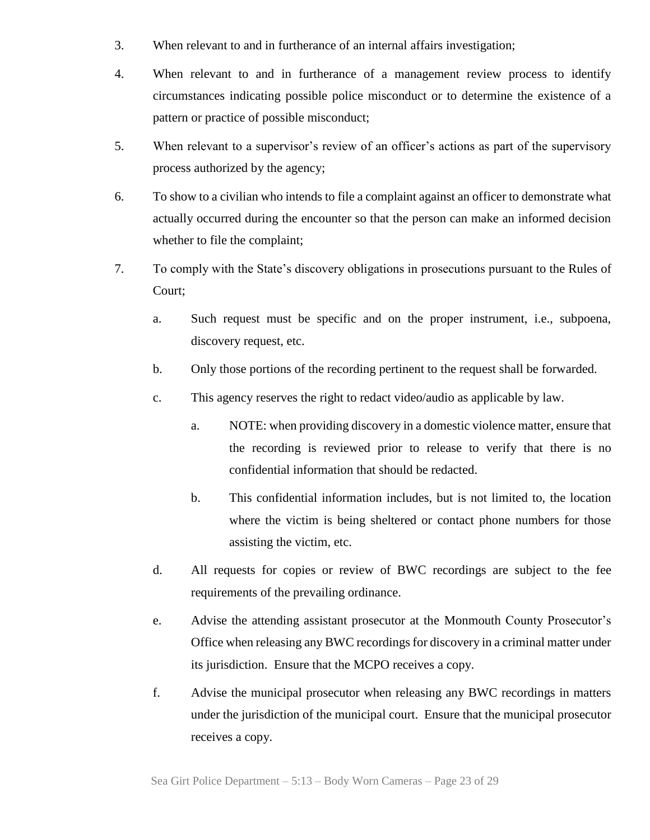- 3. When relevant to and in furtherance of an internal affairs investigation;
- 4. When relevant to and in furtherance of a management review process to identify circumstances indicating possible police misconduct or to determine the existence of a pattern or practice of possible misconduct;
- 5. When relevant to a supervisor's review of an officer's actions as part of the supervisory process authorized by the agency;
- 6. To show to a civilian who intends to file a complaint against an officer to demonstrate what actually occurred during the encounter so that the person can make an informed decision whether to file the complaint;
- 7. To comply with the State's discovery obligations in prosecutions pursuant to the Rules of Court;
	- a. Such request must be specific and on the proper instrument, i.e., subpoena, discovery request, etc.
	- b. Only those portions of the recording pertinent to the request shall be forwarded.
	- c. This agency reserves the right to redact video/audio as applicable by law.
		- a. NOTE: when providing discovery in a domestic violence matter, ensure that the recording is reviewed prior to release to verify that there is no confidential information that should be redacted.
		- b. This confidential information includes, but is not limited to, the location where the victim is being sheltered or contact phone numbers for those assisting the victim, etc.
	- d. All requests for copies or review of BWC recordings are subject to the fee requirements of the prevailing ordinance.
	- e. Advise the attending assistant prosecutor at the Monmouth County Prosecutor's Office when releasing any BWC recordings for discovery in a criminal matter under its jurisdiction. Ensure that the MCPO receives a copy.
	- f. Advise the municipal prosecutor when releasing any BWC recordings in matters under the jurisdiction of the municipal court. Ensure that the municipal prosecutor receives a copy.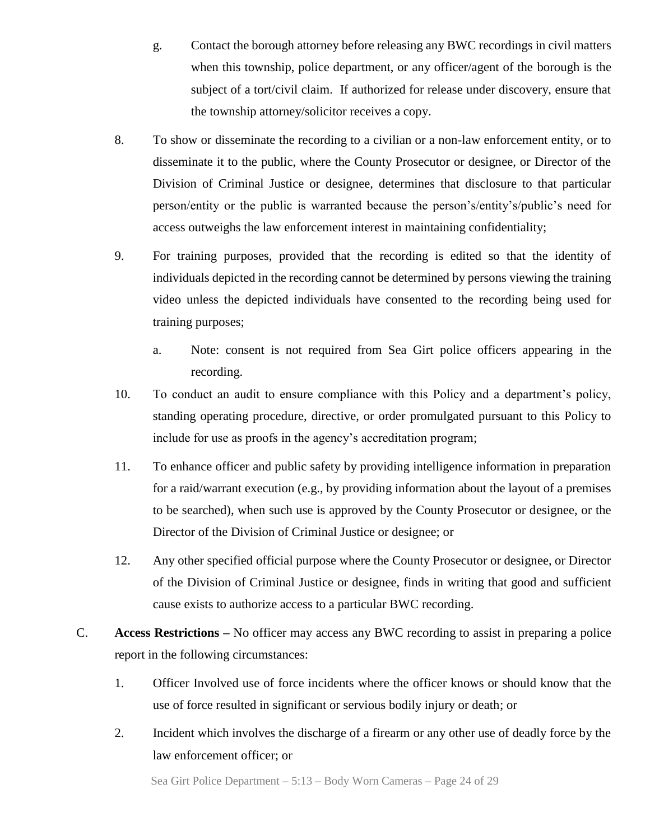- g. Contact the borough attorney before releasing any BWC recordings in civil matters when this township, police department, or any officer/agent of the borough is the subject of a tort/civil claim. If authorized for release under discovery, ensure that the township attorney/solicitor receives a copy.
- 8. To show or disseminate the recording to a civilian or a non-law enforcement entity, or to disseminate it to the public, where the County Prosecutor or designee, or Director of the Division of Criminal Justice or designee, determines that disclosure to that particular person/entity or the public is warranted because the person's/entity's/public's need for access outweighs the law enforcement interest in maintaining confidentiality;
- 9. For training purposes, provided that the recording is edited so that the identity of individuals depicted in the recording cannot be determined by persons viewing the training video unless the depicted individuals have consented to the recording being used for training purposes;
	- a. Note: consent is not required from Sea Girt police officers appearing in the recording.
- 10. To conduct an audit to ensure compliance with this Policy and a department's policy, standing operating procedure, directive, or order promulgated pursuant to this Policy to include for use as proofs in the agency's accreditation program;
- 11. To enhance officer and public safety by providing intelligence information in preparation for a raid/warrant execution (e.g., by providing information about the layout of a premises to be searched), when such use is approved by the County Prosecutor or designee, or the Director of the Division of Criminal Justice or designee; or
- 12. Any other specified official purpose where the County Prosecutor or designee, or Director of the Division of Criminal Justice or designee, finds in writing that good and sufficient cause exists to authorize access to a particular BWC recording.
- C. **Access Restrictions –** No officer may access any BWC recording to assist in preparing a police report in the following circumstances:
	- 1. Officer Involved use of force incidents where the officer knows or should know that the use of force resulted in significant or servious bodily injury or death; or
	- 2. Incident which involves the discharge of a firearm or any other use of deadly force by the law enforcement officer; or

Sea Girt Police Department – 5:13 – Body Worn Cameras – Page 24 of 29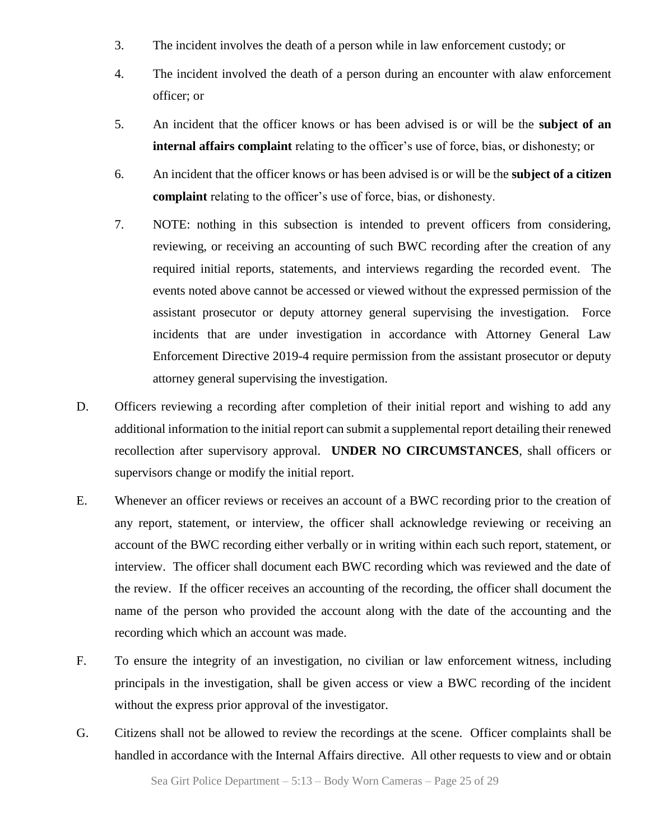- 3. The incident involves the death of a person while in law enforcement custody; or
- 4. The incident involved the death of a person during an encounter with alaw enforcement officer; or
- 5. An incident that the officer knows or has been advised is or will be the **subject of an internal affairs complaint** relating to the officer's use of force, bias, or dishonesty; or
- 6. An incident that the officer knows or has been advised is or will be the **subject of a citizen complaint** relating to the officer's use of force, bias, or dishonesty.
- 7. NOTE: nothing in this subsection is intended to prevent officers from considering, reviewing, or receiving an accounting of such BWC recording after the creation of any required initial reports, statements, and interviews regarding the recorded event. The events noted above cannot be accessed or viewed without the expressed permission of the assistant prosecutor or deputy attorney general supervising the investigation. Force incidents that are under investigation in accordance with Attorney General Law Enforcement Directive 2019-4 require permission from the assistant prosecutor or deputy attorney general supervising the investigation.
- D. Officers reviewing a recording after completion of their initial report and wishing to add any additional information to the initial report can submit a supplemental report detailing their renewed recollection after supervisory approval. **UNDER NO CIRCUMSTANCES**, shall officers or supervisors change or modify the initial report.
- E. Whenever an officer reviews or receives an account of a BWC recording prior to the creation of any report, statement, or interview, the officer shall acknowledge reviewing or receiving an account of the BWC recording either verbally or in writing within each such report, statement, or interview. The officer shall document each BWC recording which was reviewed and the date of the review. If the officer receives an accounting of the recording, the officer shall document the name of the person who provided the account along with the date of the accounting and the recording which which an account was made.
- F. To ensure the integrity of an investigation, no civilian or law enforcement witness, including principals in the investigation, shall be given access or view a BWC recording of the incident without the express prior approval of the investigator.
- G. Citizens shall not be allowed to review the recordings at the scene. Officer complaints shall be handled in accordance with the Internal Affairs directive. All other requests to view and or obtain

Sea Girt Police Department – 5:13 – Body Worn Cameras – Page 25 of 29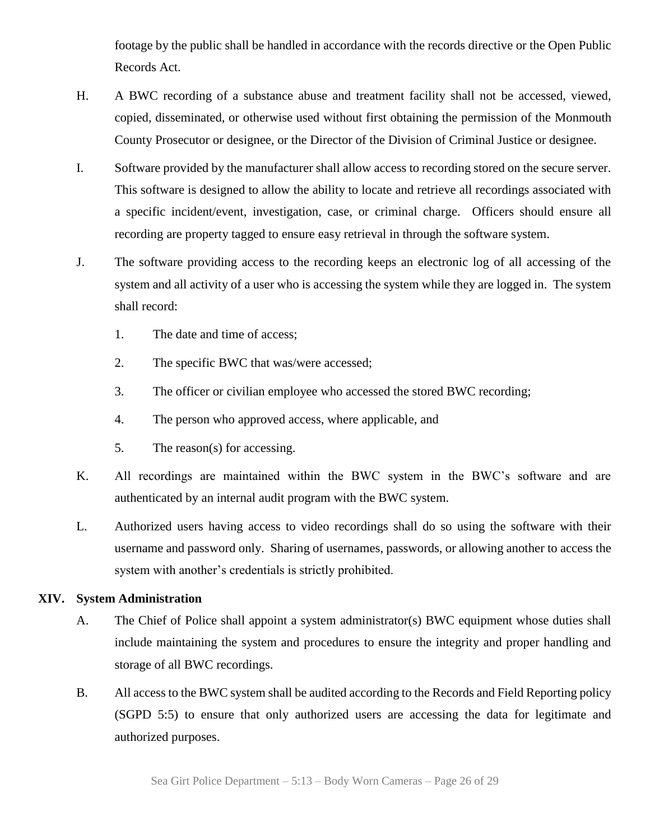footage by the public shall be handled in accordance with the records directive or the Open Public Records Act.

- H. A BWC recording of a substance abuse and treatment facility shall not be accessed, viewed, copied, disseminated, or otherwise used without first obtaining the permission of the Monmouth County Prosecutor or designee, or the Director of the Division of Criminal Justice or designee.
- I. Software provided by the manufacturer shall allow access to recording stored on the secure server. This software is designed to allow the ability to locate and retrieve all recordings associated with a specific incident/event, investigation, case, or criminal charge. Officers should ensure all recording are property tagged to ensure easy retrieval in through the software system.
- J. The software providing access to the recording keeps an electronic log of all accessing of the system and all activity of a user who is accessing the system while they are logged in. The system shall record:
	- 1. The date and time of access;
	- 2. The specific BWC that was/were accessed;
	- 3. The officer or civilian employee who accessed the stored BWC recording;
	- 4. The person who approved access, where applicable, and
	- 5. The reason(s) for accessing.
- K. All recordings are maintained within the BWC system in the BWC's software and are authenticated by an internal audit program with the BWC system.
- L. Authorized users having access to video recordings shall do so using the software with their username and password only. Sharing of usernames, passwords, or allowing another to access the system with another's credentials is strictly prohibited.

#### **XIV. System Administration**

- A. The Chief of Police shall appoint a system administrator(s) BWC equipment whose duties shall include maintaining the system and procedures to ensure the integrity and proper handling and storage of all BWC recordings.
- B. All access to the BWC system shall be audited according to the Records and Field Reporting policy (SGPD 5:5) to ensure that only authorized users are accessing the data for legitimate and authorized purposes.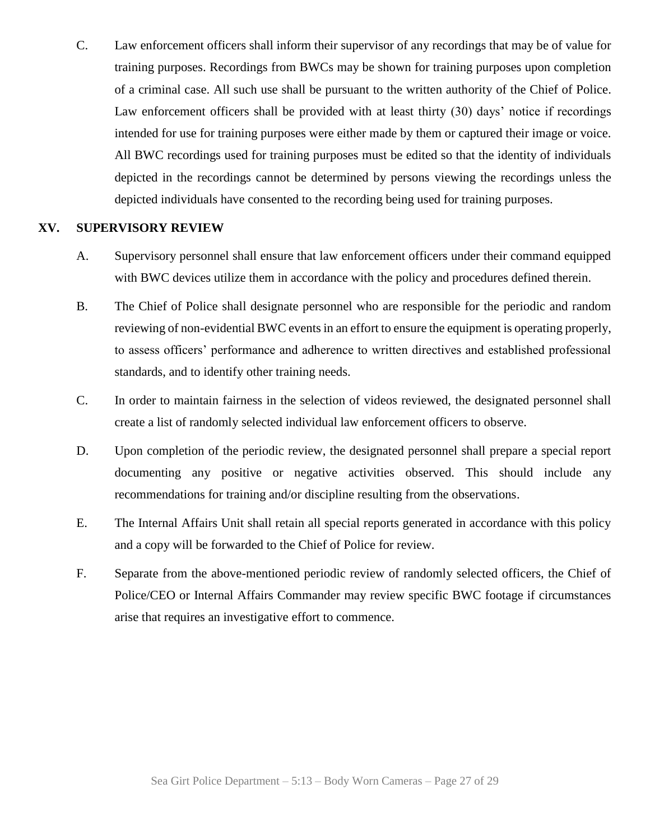C. Law enforcement officers shall inform their supervisor of any recordings that may be of value for training purposes. Recordings from BWCs may be shown for training purposes upon completion of a criminal case. All such use shall be pursuant to the written authority of the Chief of Police. Law enforcement officers shall be provided with at least thirty (30) days' notice if recordings intended for use for training purposes were either made by them or captured their image or voice. All BWC recordings used for training purposes must be edited so that the identity of individuals depicted in the recordings cannot be determined by persons viewing the recordings unless the depicted individuals have consented to the recording being used for training purposes.

#### **XV. SUPERVISORY REVIEW**

- A. Supervisory personnel shall ensure that law enforcement officers under their command equipped with BWC devices utilize them in accordance with the policy and procedures defined therein.
- B. The Chief of Police shall designate personnel who are responsible for the periodic and random reviewing of non-evidential BWC events in an effort to ensure the equipment is operating properly, to assess officers' performance and adherence to written directives and established professional standards, and to identify other training needs.
- C. In order to maintain fairness in the selection of videos reviewed, the designated personnel shall create a list of randomly selected individual law enforcement officers to observe.
- D. Upon completion of the periodic review, the designated personnel shall prepare a special report documenting any positive or negative activities observed. This should include any recommendations for training and/or discipline resulting from the observations.
- E. The Internal Affairs Unit shall retain all special reports generated in accordance with this policy and a copy will be forwarded to the Chief of Police for review.
- F. Separate from the above-mentioned periodic review of randomly selected officers, the Chief of Police/CEO or Internal Affairs Commander may review specific BWC footage if circumstances arise that requires an investigative effort to commence.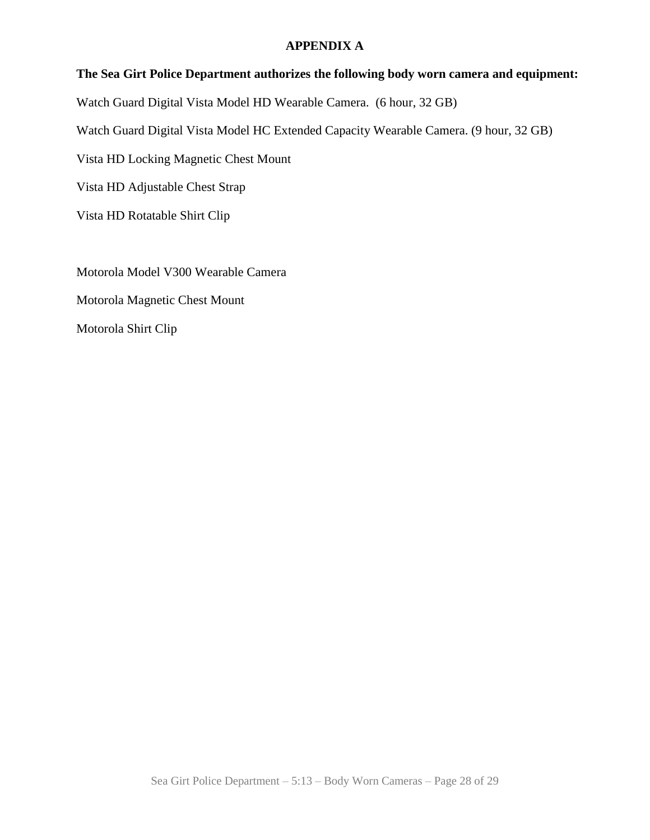#### **APPENDIX A**

### **The Sea Girt Police Department authorizes the following body worn camera and equipment:**

Watch Guard Digital Vista Model HD Wearable Camera. (6 hour, 32 GB)

Watch Guard Digital Vista Model HC Extended Capacity Wearable Camera. (9 hour, 32 GB)

Vista HD Locking Magnetic Chest Mount

Vista HD Adjustable Chest Strap

Vista HD Rotatable Shirt Clip

Motorola Model V300 Wearable Camera Motorola Magnetic Chest Mount Motorola Shirt Clip